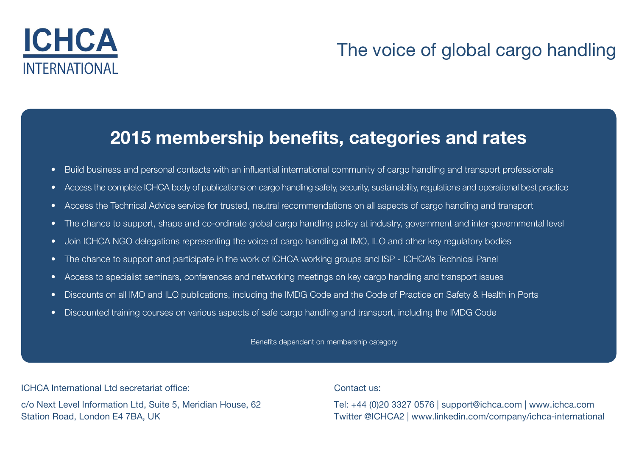

### ICHCA The voice of global cargo handling

### 2015 membership benefits, categories and rates

- Build business and personal contacts with an influential international community of cargo handling and transport professionals
- Access the complete ICHCA body of publications on cargo handling safety, security, sustainability, regulations and operational best practice
- Access the Technical Advice service for trusted, neutral recommendations on all aspects of cargo handling and transport
- The chance to support, shape and co-ordinate global cargo handling policy at industry, government and inter-governmental level
- Join ICHCA NGO delegations representing the voice of cargo handling at IMO, ILO and other key regulatory bodies
- The chance to support and participate in the work of ICHCA working groups and ISP ICHCA's Technical Panel
- Access to specialist seminars, conferences and networking meetings on key cargo handling and transport issues
- Discounts on all IMO and ILO publications, including the IMDG Code and the Code of Practice on Safety & Health in Ports
- Discounted training courses on various aspects of safe cargo handling and transport, including the IMDG Code

Benefits dependent on membership category

ICHCA International Ltd secretariat office:

c/o Next Level Information Ltd, Suite 5, Meridian House, 62 Station Road, London E4 7BA, UK

Contact us:

Tel: +44 (0)20 3327 0576 | support@ichca.com | [www.ichca.com](www.ichca.com ) Twitter [@ICHCA2](http://www.twitter.com/ichca2) | www[.linkedin.com/company/ichca-international](http://www.linkedin.com/company/ichca-international)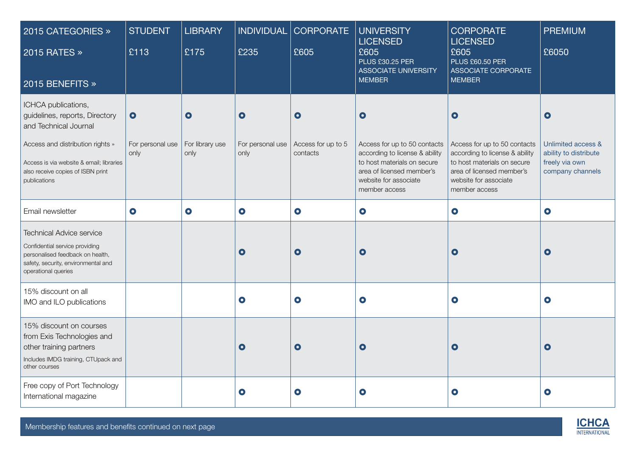| 2015 CATEGORIES »<br>2015 RATES »<br>2015 BENEFITS »                                                                                                                                                                | <b>STUDENT</b><br>£113                | <b>LIBRARY</b><br>£175               | INDIVIDUAL<br>£235                    | <b>CORPORATE</b><br>£605                    | <b>UNIVERSITY</b><br><b>LICENSED</b><br>£605<br><b>PLUS £30.25 PER</b><br><b>ASSOCIATE UNIVERSITY</b><br><b>MEMBER</b>                                                            | <b>CORPORATE</b><br><b>LICENSED</b><br>£605<br><b>PLUS £60.50 PER</b><br>ASSOCIATE CORPORATE<br><b>MEMBER</b>                                                                     | <b>PREMIUM</b><br>£6050                                                                        |
|---------------------------------------------------------------------------------------------------------------------------------------------------------------------------------------------------------------------|---------------------------------------|--------------------------------------|---------------------------------------|---------------------------------------------|-----------------------------------------------------------------------------------------------------------------------------------------------------------------------------------|-----------------------------------------------------------------------------------------------------------------------------------------------------------------------------------|------------------------------------------------------------------------------------------------|
| ICHCA publications,<br>guidelines, reports, Directory<br>and Technical Journal<br>Access and distribution rights »<br>Access is via website & email; libraries<br>also receive copies of ISBN print<br>publications | $\bullet$<br>For personal use<br>only | $\bullet$<br>For library use<br>only | $\bullet$<br>For personal use<br>only | $\bullet$<br>Access for up to 5<br>contacts | $\bullet$<br>Access for up to 50 contacts<br>according to license & ability<br>to host materials on secure<br>area of licensed member's<br>website for associate<br>member access | $\bullet$<br>Access for up to 50 contacts<br>according to license & ability<br>to host materials on secure<br>area of licensed member's<br>website for associate<br>member access | $\bullet$<br>Unlimited access &<br>ability to distribute<br>freely via own<br>company channels |
| Email newsletter                                                                                                                                                                                                    | $\bullet$                             | $\bullet$                            | $\bullet$                             | $\bullet$                                   | $\bullet$                                                                                                                                                                         | $\bullet$                                                                                                                                                                         | $\bullet$                                                                                      |
| <b>Technical Advice service</b><br>Confidential service providing<br>personalised feedback on health,<br>safety, security, environmental and<br>operational queries                                                 |                                       |                                      | $\bullet$                             | $\bullet$                                   | $\bullet$                                                                                                                                                                         | $\bullet$                                                                                                                                                                         | $\bullet$                                                                                      |
| 15% discount on all<br>IMO and ILO publications                                                                                                                                                                     |                                       |                                      | $\bullet$                             | $\bullet$                                   | $\bullet$                                                                                                                                                                         | $\bullet$                                                                                                                                                                         | $\bullet$                                                                                      |
| 15% discount on courses<br>from Exis Technologies and<br>other training partners<br>Includes IMDG training, CTUpack and<br>other courses                                                                            |                                       |                                      | $\bullet$                             | $\bullet$                                   | $\bullet$                                                                                                                                                                         | $\bullet$                                                                                                                                                                         | $\bullet$                                                                                      |
| Free copy of Port Technology<br>International magazine                                                                                                                                                              |                                       |                                      | $\bullet$                             | $\bullet$                                   | $\bullet$                                                                                                                                                                         | $\bullet$                                                                                                                                                                         | $\bullet$                                                                                      |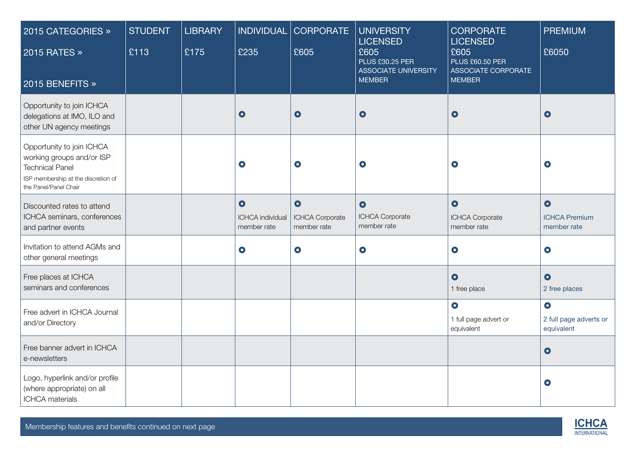| 2015 CATEGORIES »<br>2015 RATES »<br>2015 BENEFITS »                                                                                             | <b>STUDENT</b><br>£113 | <b>LIBRARY</b><br>£175 | <b>INDIVIDUAL</b><br>£235                           | <b>CORPORATE</b><br>£605                    | <b>UNIVERSITY</b><br><b>LICENSED</b><br>£605<br><b>PLUS £30.25 PER</b><br><b>ASSOCIATE UNIVERSITY</b><br><b>MEMBER</b> | <b>CORPORATE</b><br><b>LICENSED</b><br>£605<br><b>PLUS £60.50 PER</b><br>ASSOCIATE CORPORATE<br><b>MEMBER</b> | <b>PREMIUM</b><br>£6050                           |
|--------------------------------------------------------------------------------------------------------------------------------------------------|------------------------|------------------------|-----------------------------------------------------|---------------------------------------------|------------------------------------------------------------------------------------------------------------------------|---------------------------------------------------------------------------------------------------------------|---------------------------------------------------|
| Opportunity to join ICHCA<br>delegations at IMO, ILO and<br>other UN agency meetings                                                             |                        |                        | $\bullet$                                           | $\bullet$                                   | $\bullet$                                                                                                              | $\bullet$                                                                                                     | $\bullet$                                         |
| Opportunity to join ICHCA<br>working groups and/or ISP<br><b>Technical Panel</b><br>ISP membership at the discretion of<br>the Panel/Panel Chair |                        |                        | $\bullet$                                           | $\bullet$                                   | $\bullet$                                                                                                              | $\bullet$                                                                                                     | $\bullet$                                         |
| Discounted rates to attend<br>ICHCA seminars, conferences<br>and partner events                                                                  |                        |                        | $\bullet$<br><b>ICHCA</b> individual<br>member rate | $\bullet$<br>ICHCA Corporate<br>member rate | $\bullet$<br>ICHCA Corporate<br>member rate                                                                            | $\bullet$<br>ICHCA Corporate<br>member rate                                                                   | $\bullet$<br><b>ICHCA Premium</b><br>member rate  |
| Invitation to attend AGMs and<br>other general meetings                                                                                          |                        |                        | $\bullet$                                           | $\bullet$                                   | $\bullet$                                                                                                              | $\bullet$                                                                                                     | $\bullet$                                         |
| Free places at ICHCA<br>seminars and conferences                                                                                                 |                        |                        |                                                     |                                             |                                                                                                                        | $\bullet$<br>1 free place                                                                                     | $\bullet$<br>2 free places                        |
| Free advert in ICHCA Journal<br>and/or Directory                                                                                                 |                        |                        |                                                     |                                             |                                                                                                                        | $\bullet$<br>1 full page advert or<br>equivalent                                                              | $\bullet$<br>2 full page adverts or<br>equivalent |
| Free banner advert in ICHCA<br>e-newsletters                                                                                                     |                        |                        |                                                     |                                             |                                                                                                                        |                                                                                                               | $\bullet$                                         |
| Logo, hyperlink and/or profile<br>(where appropriate) on all<br><b>ICHCA</b> materials                                                           |                        |                        |                                                     |                                             |                                                                                                                        |                                                                                                               | $\bullet$                                         |

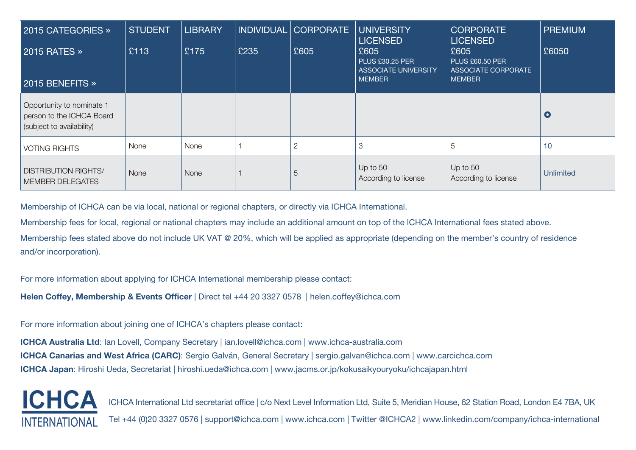| 2015 CATEGORIES »<br><b>2015 RATES »</b><br>2015 BENEFITS $\gg$                     | <b>STUDENT</b><br>£113 | <b>LIBRARY</b><br>£175 | <b>INDIVIDUAL</b><br>£235 | <b>CORPORATE</b><br>£605 | <b>UNIVERSITY</b><br><b>LICENSED</b><br>£605<br><b>PLUS £30.25 PER</b><br><b>ASSOCIATE UNIVERSITY</b><br><b>MEMBER</b> | <b>CORPORATE</b><br><b>LICENSED</b><br>£605<br><b>PLUS £60.50 PER</b><br>ASSOCIATE CORPORATE<br><b>MEMBER</b> | <b>PREMIUM</b><br>£6050 |
|-------------------------------------------------------------------------------------|------------------------|------------------------|---------------------------|--------------------------|------------------------------------------------------------------------------------------------------------------------|---------------------------------------------------------------------------------------------------------------|-------------------------|
| Opportunity to nominate 1<br>person to the ICHCA Board<br>(subject to availability) |                        |                        |                           |                          |                                                                                                                        |                                                                                                               | $\bullet$               |
| <b>VOTING RIGHTS</b>                                                                | None                   | None                   |                           | 2                        | 3                                                                                                                      | 5                                                                                                             | 10                      |
| <b>DISTRIBUTION RIGHTS/</b><br><b>MEMBER DELEGATES</b>                              | None                   | None                   |                           | 5                        | Up to $50$<br>According to license                                                                                     | Up to $50$<br>According to license                                                                            | <b>Unlimited</b>        |

Membership of ICHCA can be via local, national or regional chapters, or directly via ICHCA International.

Membership fees for local, regional or national chapters may include an additional amount on top of the ICHCA International fees stated above.

Membership fees stated above do not include UK VAT @ 20%, which will be applied as appropriate (depending on the member's country of residence and/or incorporation).

For more information about applying for ICHCA International membership please contact:

Helen Coffey, Membership & Events Officer | Direct tel +44 20 3327 0578 | helen.coffey@ichca.com

For more information about joining one of ICHCA's chapters please contact:

ICHCA Australia Ltd: Ian Lovell, Company Secretary | ian.lovell@ichca.com | <www.ichca-australia.com> ICHCA Canarias and West Africa (CARC): Sergio Galván, General Secretary | sergio.galvan@ichca.com |<www.carcichca.com> ICHCA Japan: Hiroshi Ueda, Secretariat | hiroshi.ueda@ichca.com | <www.jacms.or.jp/kokusaikyouryoku/ichcajapan.html>



ICHCA International Ltd secretariat office | c/o Next Level Information Ltd, Suite 5, Meridian House, 62 Station Road, London E4 7BA, UK Tel +44 (0)20 3327 0576 | support@ichca.com | <www.ichca.com>| Twitter [@ICHCA2](http://www.twitter.com/ichca2) | www[.linkedin.com/company/ichca-international](http://www.linkedin.com/company/ichca-international)